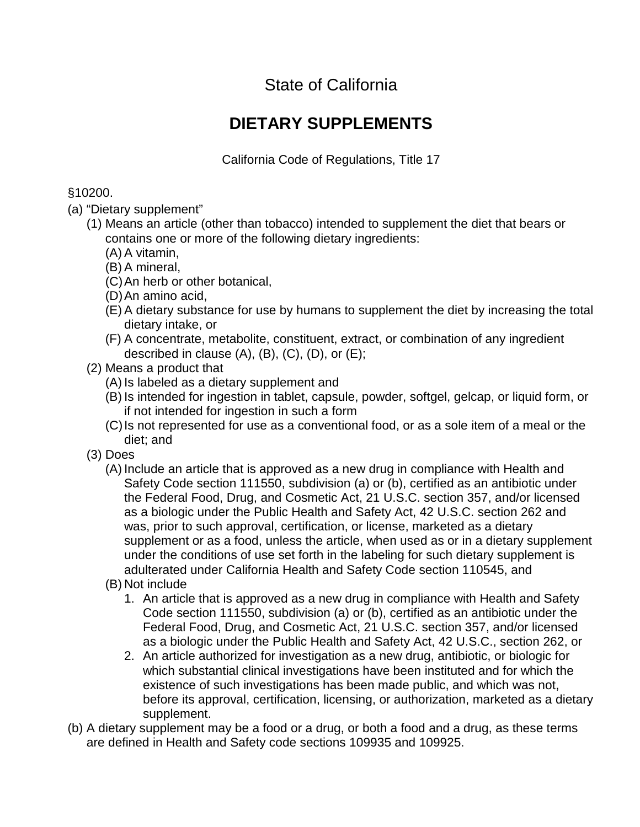State of California

## **DIETARY SUPPLEMENTS**

California Code of Regulations, Title 17

## §10200.

- (a) "Dietary supplement"
	- (1) Means an article (other than tobacco) intended to supplement the diet that bears or contains one or more of the following dietary ingredients:
		- (A) A vitamin,
		- (B) A mineral,
		- (C)An herb or other botanical,
		- (D)An amino acid,
		- (E) A dietary substance for use by humans to supplement the diet by increasing the total dietary intake, or
		- (F) A concentrate, metabolite, constituent, extract, or combination of any ingredient described in clause  $(A)$ ,  $(B)$ ,  $(C)$ ,  $(D)$ , or  $(E)$ ;
	- (2) Means a product that
		- (A) Is labeled as a dietary supplement and
		- (B) Is intended for ingestion in tablet, capsule, powder, softgel, gelcap, or liquid form, or if not intended for ingestion in such a form
		- (C)Is not represented for use as a conventional food, or as a sole item of a meal or the diet; and
	- (3) Does
		- (A) Include an article that is approved as a new drug in compliance with Health and Safety Code section 111550, subdivision (a) or (b), certified as an antibiotic under the Federal Food, Drug, and Cosmetic Act, 21 U.S.C. section 357, and/or licensed as a biologic under the Public Health and Safety Act, 42 U.S.C. section 262 and was, prior to such approval, certification, or license, marketed as a dietary supplement or as a food, unless the article, when used as or in a dietary supplement under the conditions of use set forth in the labeling for such dietary supplement is adulterated under California Health and Safety Code section 110545, and
		- (B) Not include
			- 1. An article that is approved as a new drug in compliance with Health and Safety Code section 111550, subdivision (a) or (b), certified as an antibiotic under the Federal Food, Drug, and Cosmetic Act, 21 U.S.C. section 357, and/or licensed as a biologic under the Public Health and Safety Act, 42 U.S.C., section 262, or
			- 2. An article authorized for investigation as a new drug, antibiotic, or biologic for which substantial clinical investigations have been instituted and for which the existence of such investigations has been made public, and which was not, before its approval, certification, licensing, or authorization, marketed as a dietary supplement.
- (b) A dietary supplement may be a food or a drug, or both a food and a drug, as these terms are defined in Health and Safety code sections 109935 and 109925.